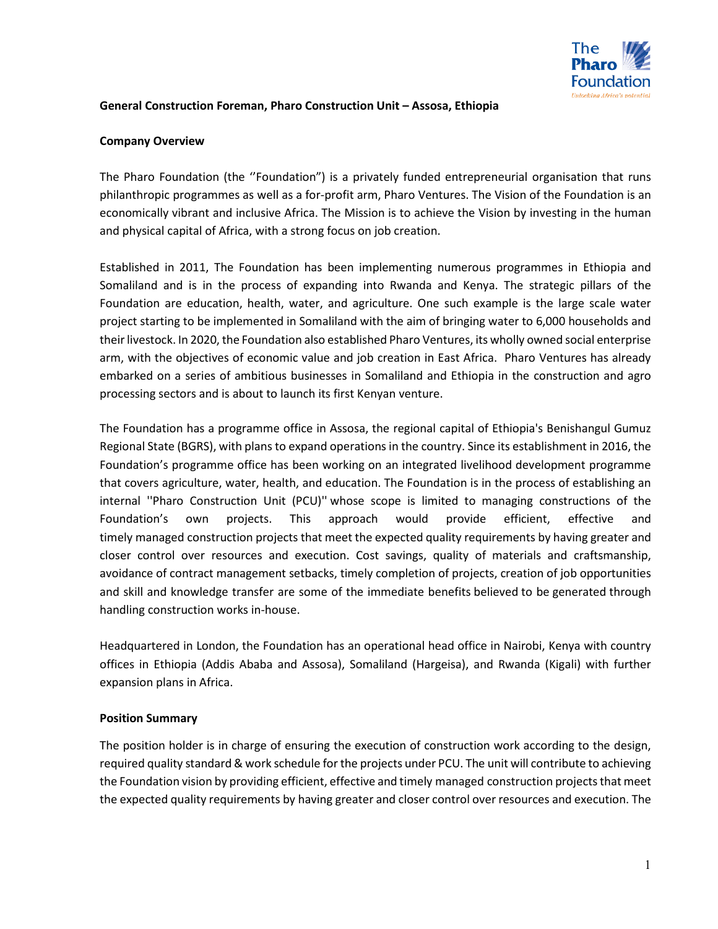

#### **General Construction Foreman, Pharo Construction Unit – Assosa, Ethiopia**

#### **Company Overview**

The Pharo Foundation (the ''Foundation") is a privately funded entrepreneurial organisation that runs philanthropic programmes as well as a for-profit arm, Pharo Ventures. The Vision of the Foundation is an economically vibrant and inclusive Africa. The Mission is to achieve the Vision by investing in the human and physical capital of Africa, with a strong focus on job creation.

Established in 2011, The Foundation has been implementing numerous programmes in Ethiopia and Somaliland and is in the process of expanding into Rwanda and Kenya. The strategic pillars of the Foundation are education, health, water, and agriculture. One such example is the large scale water project starting to be implemented in Somaliland with the aim of bringing water to 6,000 households and their livestock. In 2020, the Foundation also established Pharo Ventures, its wholly owned social enterprise arm, with the objectives of economic value and job creation in East Africa. Pharo Ventures has already embarked on a series of ambitious businesses in Somaliland and Ethiopia in the construction and agro processing sectors and is about to launch its first Kenyan venture.

The Foundation has a programme office in Assosa, the regional capital of Ethiopia's Benishangul Gumuz Regional State (BGRS), with plans to expand operations in the country. Since its establishment in 2016, the Foundation's programme office has been working on an integrated livelihood development programme that covers agriculture, water, health, and education. The Foundation is in the process of establishing an internal ''Pharo Construction Unit (PCU)'' whose scope is limited to managing constructions of the Foundation's own projects. This approach would provide efficient, effective and timely managed construction projects that meet the expected quality requirements by having greater and closer control over resources and execution. Cost savings, quality of materials and craftsmanship, avoidance of contract management setbacks, timely completion of projects, creation of job opportunities and skill and knowledge transfer are some of the immediate benefits believed to be generated through handling construction works in-house.

Headquartered in London, the Foundation has an operational head office in Nairobi, Kenya with country offices in Ethiopia (Addis Ababa and Assosa), Somaliland (Hargeisa), and Rwanda (Kigali) with further expansion plans in Africa.

### **Position Summary**

The position holder is in charge of ensuring the execution of construction work according to the design, required quality standard & work schedule for the projects under PCU. The unit will contribute to achieving the Foundation vision by providing efficient, effective and timely managed construction projects that meet the expected quality requirements by having greater and closer control over resources and execution. The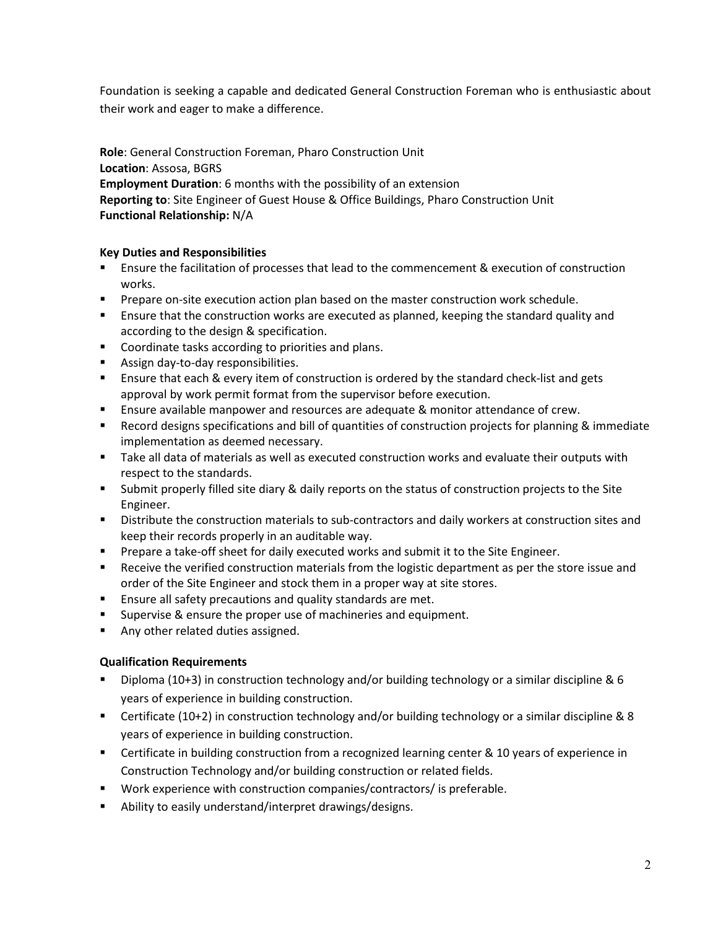Foundation is seeking a capable and dedicated General Construction Foreman who is enthusiastic about their work and eager to make a difference.

**Role**: General Construction Foreman, Pharo Construction Unit **Location**: Assosa, BGRS **Employment Duration**: 6 months with the possibility of an extension **Reporting to**: Site Engineer of Guest House & Office Buildings, Pharo Construction Unit **Functional Relationship:** N/A

### **Key Duties and Responsibilities**

- **EXECT ENSURFER 1** Ensure the facilitation of processes that lead to the commencement & execution of construction works.
- **Prepare on-site execution action plan based on the master construction work schedule.**
- **E** Ensure that the construction works are executed as planned, keeping the standard quality and according to the design & specification.
- Coordinate tasks according to priorities and plans.
- Assign day-to-day responsibilities.
- **E** Ensure that each & every item of construction is ordered by the standard check-list and gets approval by work permit format from the supervisor before execution.
- Ensure available manpower and resources are adequate & monitor attendance of crew.
- **EXECORD ENGINEES IS SOMAL SPECIFICATIONS AND HIM OF QUANTILES OF CONSTREES FOR SPECIFICATION** BET Record designs specifications and bill of quantities of construction projects for planning & immediate implementation as deemed necessary.
- **Take all data of materials as well as executed construction works and evaluate their outputs with** respect to the standards.
- Submit properly filled site diary & daily reports on the status of construction projects to the Site Engineer.
- Distribute the construction materials to sub-contractors and daily workers at construction sites and keep their records properly in an auditable way.
- **Prepare a take-off sheet for daily executed works and submit it to the Site Engineer.**
- Receive the verified construction materials from the logistic department as per the store issue and order of the Site Engineer and stock them in a proper way at site stores.
- **Ensure all safety precautions and quality standards are met.**
- Supervise & ensure the proper use of machineries and equipment.
- Any other related duties assigned.

# **Qualification Requirements**

- Diploma (10+3) in construction technology and/or building technology or a similar discipline & 6 years of experience in building construction.
- Certificate (10+2) in construction technology and/or building technology or a similar discipline & 8 years of experience in building construction.
- Certificate in building construction from a recognized learning center & 10 years of experience in Construction Technology and/or building construction or related fields.
- Work experience with construction companies/contractors/ is preferable.
- Ability to easily understand/interpret drawings/designs.